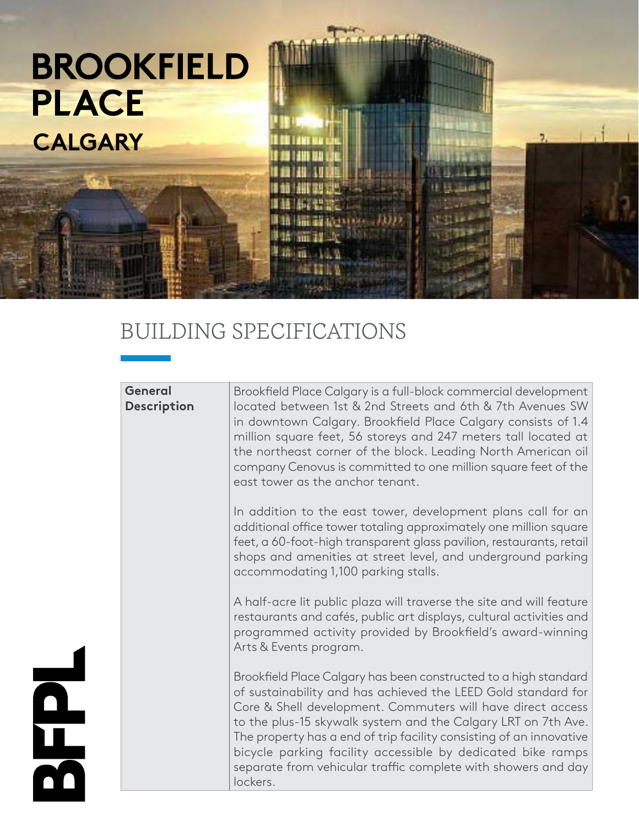

## BUILDING SPECIFICATIONS

| <b>General</b><br><b>Description</b> | Brookfield Place Calgary is a full-block commercial development<br>located between 1st & 2nd Streets and 6th & 7th Avenues SW<br>in downtown Calgary. Brookfield Place Calgary consists of 1.4<br>million square feet, 56 storeys and 247 meters tall located at<br>the northeast corner of the block. Leading North American oil<br>company Cenovus is committed to one million square feet of the<br>east tower as the anchor tenant.                                              |
|--------------------------------------|--------------------------------------------------------------------------------------------------------------------------------------------------------------------------------------------------------------------------------------------------------------------------------------------------------------------------------------------------------------------------------------------------------------------------------------------------------------------------------------|
|                                      | In addition to the east tower, development plans call for an<br>additional office tower totaling approximately one million square<br>feet, a 60-foot-high transparent glass pavilion, restaurants, retail<br>shops and amenities at street level, and underground parking<br>accommodating 1,100 parking stalls.                                                                                                                                                                     |
|                                      | A half-acre lit public plaza will traverse the site and will feature<br>restaurants and cafés, public art displays, cultural activities and<br>programmed activity provided by Brookfield's award-winning<br>Arts & Events program.                                                                                                                                                                                                                                                  |
|                                      | Brookfield Place Calgary has been constructed to a high standard<br>of sustainability and has achieved the LEED Gold standard for<br>Core & Shell development. Commuters will have direct access<br>to the plus-15 skywalk system and the Calgary LRT on 7th Ave.<br>The property has a end of trip facility consisting of an innovative<br>bicycle parking facility accessible by dedicated bike ramps<br>separate from vehicular traffic complete with showers and day<br>lockers. |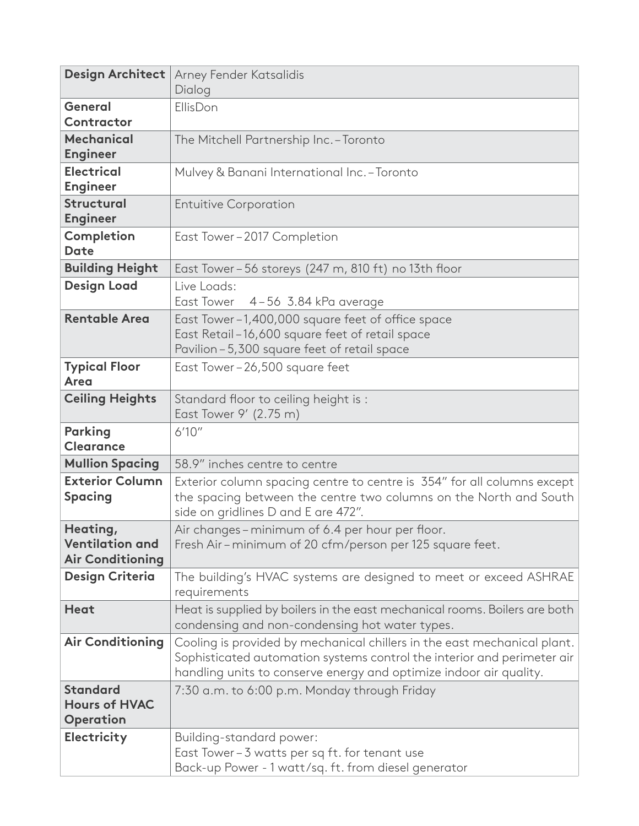| Design Architect                                              | Arney Fender Katsalidis<br>Dialog                                                                                                                                                                                         |
|---------------------------------------------------------------|---------------------------------------------------------------------------------------------------------------------------------------------------------------------------------------------------------------------------|
| <b>General</b><br>Contractor                                  | EllisDon                                                                                                                                                                                                                  |
| <b>Mechanical</b><br><b>Engineer</b>                          | The Mitchell Partnership Inc. - Toronto                                                                                                                                                                                   |
| <b>Electrical</b><br><b>Engineer</b>                          | Mulvey & Banani International Inc. - Toronto                                                                                                                                                                              |
| <b>Structural</b><br><b>Engineer</b>                          | <b>Entuitive Corporation</b>                                                                                                                                                                                              |
| Completion<br><b>Date</b>                                     | East Tower-2017 Completion                                                                                                                                                                                                |
| <b>Building Height</b>                                        | East Tower - 56 storeys (247 m, 810 ft) no 13th floor                                                                                                                                                                     |
| <b>Design Load</b>                                            | Live Loads:<br>East Tower 4-56 3.84 kPa average                                                                                                                                                                           |
| <b>Rentable Area</b>                                          | East Tower-1,400,000 square feet of office space<br>East Retail-16,600 square feet of retail space<br>Pavilion-5,300 square feet of retail space                                                                          |
| <b>Typical Floor</b><br><b>Area</b>                           | East Tower-26,500 square feet                                                                                                                                                                                             |
| <b>Ceiling Heights</b>                                        | Standard floor to ceiling height is:<br>East Tower 9' (2.75 m)                                                                                                                                                            |
| <b>Parking</b><br><b>Clearance</b>                            | 6'10''                                                                                                                                                                                                                    |
| <b>Mullion Spacing</b>                                        | 58.9" inches centre to centre                                                                                                                                                                                             |
| <b>Exterior Column</b>                                        | Exterior column spacing centre to centre is 354" for all columns except                                                                                                                                                   |
| <b>Spacing</b>                                                | the spacing between the centre two columns on the North and South<br>side on gridlines D and E are 472".                                                                                                                  |
| Heating,<br><b>Ventilation and</b><br><b>Air Conditioning</b> | Air changes - minimum of 6.4 per hour per floor.<br>Fresh Air-minimum of 20 cfm/person per 125 square feet.                                                                                                               |
| <b>Design Criteria</b>                                        | The building's HVAC systems are designed to meet or exceed ASHRAE<br>requirements                                                                                                                                         |
| <b>Heat</b>                                                   | Heat is supplied by boilers in the east mechanical rooms. Boilers are both<br>condensing and non-condensing hot water types.                                                                                              |
| <b>Air Conditioning</b>                                       | Cooling is provided by mechanical chillers in the east mechanical plant.<br>Sophisticated automation systems control the interior and perimeter air<br>handling units to conserve energy and optimize indoor air quality. |
| <b>Standard</b><br><b>Hours of HVAC</b><br>Operation          | 7:30 a.m. to 6:00 p.m. Monday through Friday                                                                                                                                                                              |
| Electricity                                                   | Building-standard power:<br>East Tower-3 watts per sq ft. for tenant use<br>Back-up Power - 1 watt/sq. ft. from diesel generator                                                                                          |